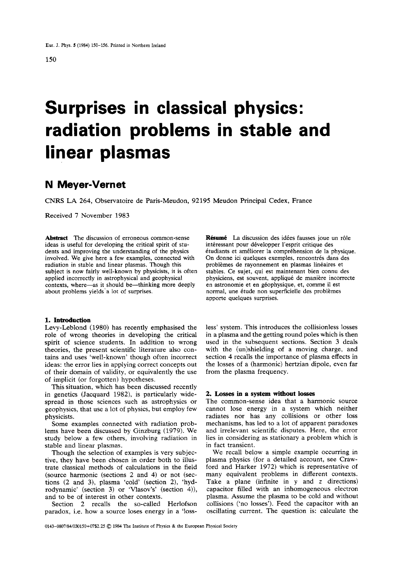# **Surprises in classical physics: radiation problems in stable and linear plasmas**

# **N Meyer-Vernet**

CNRS LA 264, Observatoire de Paris-Meudon, 92195 Meudon Principal Cedex, France

Received **7** November 1983

**Abstract** The discussion of erroneous common-sense ideas is useful for developing the critical spirit of students and improving the understanding of the physics involved. We give here a few examples, connected with radiation in stable and linear plasmas. Though this subject is now fairly well-known by physicists, it is often applied incorrectly in astrophysical and geophysical contexts, where-as it should be-thinking more deeply about problems yields'a lot of surprises.

### **1. Introduction**

Levy-Leblond (1980) has recently emphasised the role of wrong theories in developing the critical spirit of science students. In addition to wrong theories, the present scientific literature also contains and uses 'well-known' though often incorrect ideas: the error lies in applying correct concepts out of their domain of validity, or equivalently the use of implicit (or forgotten) hypotheses.

This situation, which has been discussed recently in genetics (Jacquard 1982), is particularly widespread in those sciences such as astrophysics or geophysics, that use a lot of physics, but employ few physicists.

Some examples connected with radiation problems have been discussed by Ginzburg (1979). We study below a few others, involving radiation in stable and linear plasmas.

Though the selection of examples is very subjective, they have been chosen in order both to illustrate classical methods of calculations in the field (source harmonic (sections 2 and 4) or not (sections (2 and 3), plasma 'cold' (section 2), 'hydrodynamic' (section 3) or 'Vlasov's' (section 4)), and to be of interest in other contexts.

Section 2 recalls the so-called Herlofson paradox, i.e. how a source loses energy in a 'loss**Résumé** La discussion des idées fausses joue un rôle intéressant pour développer l'esprit critique des étudiants et améliorer la compréhension de la physique. On donne ici quelques exemples, rencontrés dans des problèmes de rayonnement en plasmas linéaires et stables. Ce sujet, qui est maintenant bien connu des physiciens, est souvent, applique de maniere incorrecte en astronomie et en géophysique, et, comme il est normal, une étude non superficielle des problèmes apporte quelques surprises.

less' system. This introduces the collisionless losses in a plasma and the getting round poles which is then used in the subsequent sections. Section 3 deals with the (un)shielding of a moving charge, and section 4 recalls the importance of plasma effects in the losses of a (harmonic) hertzian dipole, even far from the plasma frequency.

#### *2.* **Losses in a system without losses**

The common-sense idea that a harmonic source cannot lose energy in a system which neither radiates nor has any collisions or other loss mechanisms, has led to a lot of apparent paradoxes and irrelevant scientific disputes. Here, the error lies in considering as stationary a problem which is in fact transient.

We recall below a simple example occurring in plasma physics (for a detailed account, see Crawford and Harker 1972) which is representative of many equivalent problems in different contexts. Take a plane (infinite in **y** and *z* directions) capacitor filled with an inhomogeneous electron plasma. Assume the plasma to be cold and without collisions ('no losses'). Feed the capacitor with an oscillating current. The question is: calculate the

**0143-0807/84/0M150+07S2.25** *0* 1984 The Institute of Physics & the European Physical Society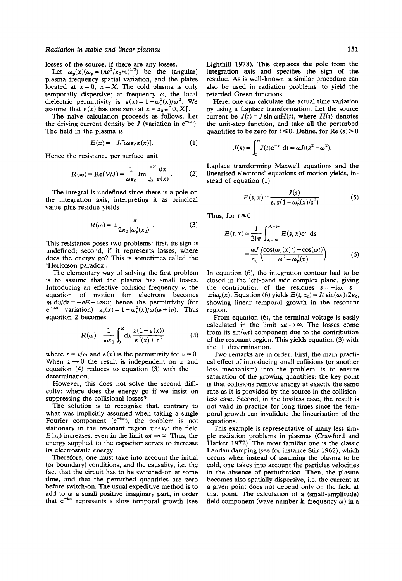losses of the source, if there are any losses.

Let  $\omega_n(x)(\omega_n = (ne^2/\epsilon_0 m)^{1/2})$  be the (angular) plasma frequency spatial variation, and the plates located at  $x = 0$ ,  $x = X$ . The cold plasma is only temporally dispersive; at frequency  $\omega$ , the local dielectric permittivity is  $\varepsilon(x) = 1 - \omega_p^2(x)/\omega^2$ . We assume that  $\varepsilon(x)$  has one zero at  $x = x_0 \in ]0, X[$ .

The naive calculation proceeds as follows. Let the driving current density be *J* (variation in  $e^{-i\omega t}$ ). The field in the plasma is

$$
E(x) = -J/[i\omega\varepsilon_0\varepsilon(x)].
$$
 (1)

Hence the resistance per surface unit

$$
R(\omega) = \text{Re}(V/J) = \frac{1}{\omega \varepsilon_0} \text{Im} \int_0^X \frac{dx}{\varepsilon(x)}.
$$
 (2)

The integral is undefined since there is a pole on the integration axis; interpreting it **as** principal value plus residue yields

$$
R(\omega) = \pm \frac{\pi}{2\varepsilon_0 |\omega'_0(x_0)|}.
$$
 (3)

This resistance poses two problems: first, its sign is undefined; second, if it represents losses, where does the energy go? This is sometimes called the 'Herlofson paradox'.

The elementary way of solving the first problem is to assume that he plasma has small losses. Introducing an effective collision frequency  $\nu$ , the equation of motion for electrons becomes  $m dv/dt = -eE - \nu mv$ ; hence the permittivity (for  $e^{-i\omega t}$  variation)  $\varepsilon_{\nu}(x) = 1 - \omega_{\rm p}^2(x)/\omega(\omega + i\nu)$ . Thus equation 2 becomes

$$
R(\omega) = \frac{1}{\omega \varepsilon_0} \int_0^x dx \frac{z(1 - \varepsilon(x))}{\varepsilon^2(x) + z^2}
$$
 (4)

where  $z = v/\omega$  and  $\varepsilon(x)$  is the permittivity for  $v = 0$ . When  $z \rightarrow 0$  the result is independent on z and equation **(4)** reduces to equation **(3)** with the + determination.

However, this does not solve the second difficulty: where does the energy go if we insist on suppressing the collisional losses?

The solution is to recognise that, contrary to what was implicitly assumed when taking a single Fourier component  $(e^{-i\omega t})$ , the problem is not stationary in the resonant region  $x \approx x_0$ : the field  $E(x_0)$  increases, even in the limit  $\omega t \rightarrow \infty$ . Thus, the energy supplied to the capacitor serves to increase its electrostatic energy.

Therefore, one must take into account the initial (or boundary) conditions, and the causality, i.e. the fact that the circuit has to be switched-on at some time, and that the perturbed quantities are zero before switch-on. The usual expeditive method is to add to  $\omega$  a small positive imaginary part, in order that e<sup>-iot</sup> represents a slow temporal growth (see Lighthill 1978). This displaces the pole from the integration axis and specifies the sign of the residue. *As* is well-known, a similar procedure can also be used in radiation problems, to yield the retarded Green functions.

Here, one can calculate the actual time variation by using a Laplace transformation. Let the source current be  $J(t) = J \sin \omega t H(t)$ , where  $H(t)$  denotes the unit-step function, and take all the perturbed quantities to be zero for  $t \le 0$ . Define, for Re  $(s) > 0$ 

$$
J(s) = \int_0^\infty J(t)e^{-st} dt = \omega J/(s^2 + \omega^2).
$$

Laplace transforming Maxwell equations and the linearised electrons' equations of motion yields, instead of equation (1)

$$
E(s, x) = \frac{J(s)}{\epsilon_0 s (1 + \omega_p^2(x)/s^2)}.
$$
 (5)

Thus, for  $t \ge 0$ 

$$
E(t, x) = \frac{1}{2i\pi} \int_{A - i\infty}^{A + i\infty} E(s, x)e^{st} ds
$$
  
= 
$$
\frac{\omega J}{\epsilon_0} \left( \frac{\cos(\omega_p(x)t) - \cos(\omega t)}{\omega^2 - \omega_p^2(x)} \right).
$$
 (6)

In equation (6), the integration contour had to be closed in the left-hand side complex plane, giving the contribution of the residues  $s = \pm i\omega$ ,  $s =$  $\pm i\omega_p(x)$ . Equation (6) yields  $E(t, x_0) = Jt \sin(\omega t)/2\varepsilon_0$ , showing linear temporal growth in the resonant region.

From equation (6), the terminal voltage is easily calculated in the limit  $\omega t \rightarrow \infty$ . The losses come from its  $sin(\omega t)$  component due to the contribution of the resonant region. This yields equation **(3)** with the + determination.

Two remarks are in order. First, the main practical effect of introducing small collisions (or another loss mechanism) into the problem, is to ensure saturation of the growing quantities: the key point is that collisions remove energy at exactly the same rate as it is provided by the source in the collisionless case. Second, in the lossless case, the result is not valid in practice for long times since the temporal growth can invalidate the linearisation of the equations.

This example is representative of many less simple radiation problems in plasmas (Crawford and Harker 1972). The most familiar one is the classic Landau damping (see for instance Stix 1962), which occurs when instead of assuming the plasma to be cold, one takes into account the particles velocities in the absence of perturbation. Then, the plasma becomes also spatially dispersive, i.e. the current at a given point does not depend only on the field at that point. The calculation of a (small-amplitude) field component (wave number **k**, frequency  $\omega$ ) in a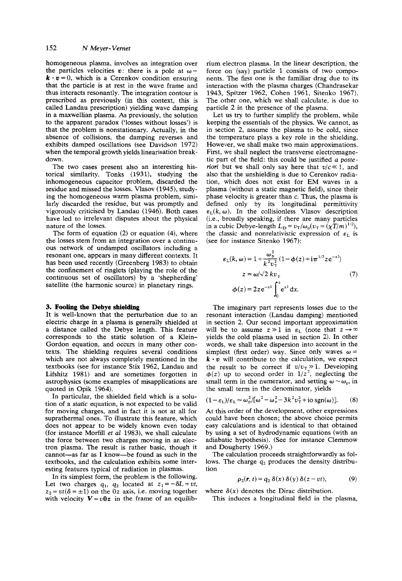homogeneous plasma, involves an integration over the particles velocities  $v$ : there is a pole at  $\omega$ - $\mathbf{k} \cdot \mathbf{v} = 0$ , which is a Cerenkov condition ensuring that the particle is at rest in the wave frame and thus interacts resonantly. The integration contour is prescribed as previously (in this context, this is called Landau prescription) yielding wave damping in a maxwellian plasma. *As* previously, the solution to the apparent paradox ('losses without losses') is that the problem is nonstationary. Actually, in the absence of collisions, the damping reverses and exhibits damped oscillations (see Davidson 1972) when the temporal growth yields linearisation breakdown.

The two cases present also an interesting historical similarity. Tonks (1931), studying the inhomogeneous capacitor problem, discarded the residue and missed the losses. Vlasov (1945), studying the homogeneous warm plasma problem, similarly discarded the residue, but was promptly and vigorously criticised by Landau (1946). Both cases have led to irrelevant disputes about the physical nature of the losses.

The form of equation (2) or equation (4), where the losses stem from an integration over a continuous network of undamped oscillators including a resonant one, appears in many different contexts. It has been used recently (Greenberg 1983) to obtain the confinement of ringlets (playing the role of the continuous set of oscillators) by a 'shepherding' satellite (the harmonic source) in planetary rings.

#### **3. Fooling the Debye shielding**

It is well-known that the perturbation due to an electric charge in a plasma is generally shielded at a distance called the Debye length. This feature corresponds to the static solution of a Klein-Gordon equation, and occurs in many other contexts. The shielding requires everal conditions which are not always completely mentioned in the textbooks (see for instance Stix 1962, Landau and Lifshitz 1981) and are sometimes forgotten in astrophysics (some examples of misapplications are quoted in Opik 1964).

In particular, the shielded field which is a solution of a static equation, is not expected to be valid for moving charges, and in fact it is not at all for suprathermal ones. To illustrate this feature, which does not appear to be widely known even today (for instance Morfill et *al* 1983), we shall calculate the force between two charges moving in an electron plasma. The result is rather basic, though it cannot-as far as I know-be found as such in the textbooks, and the calculation exhibits some interesting features typical of radiation in plasmas.

In its simplest form, the problem is the following. Let two charges  $q_1$ ,  $q_2$  located at  $z_1 = -\delta L + vt$ ,  $z_2 = vt(\delta = \pm 1)$  on the *Oz* axis, i.e. moving together with velocity  $V = v0z$  in the frame of an equilibrium electron plasma. In the linear description, the force on (say) particle 1 consists of two components. The first one is the familiar drag due to its interaction with the plasma charges (Chandrasekar 1943, Spitzer 1962, Cohen 1961, Sitenko 1967). The other one, which we shall calculate, is due to particle 2 in the presence of the plasma.

Let us try to further simplify the problem, while keeping the essentials of the physics. We cannot, as in section 2, assume the plasma to be cold, since the temperature plays a key role in the shielding. However, we shall make two main approximations. First, we shall neglect the transverse electromagnetic part of the field: this could be justified *a* poste*riori* but we shall only say here that  $v/c \ll 1$ , and also that the unshielding is due to Cerenkov radiation, which does not exist for EM waves in a plasma (without a static magnetic field), since their phase velocity is greater than c. Thus, the plasma is defined only by its longitudinal permittivity  $\varepsilon_L(k, \omega)$ . In the collisionless Vlasov description (i.e., broadly speaking, if there are many particles in a cubic Debye-length  $L_D = v_T/\omega_p (v_T = (\chi T/m)^{1/2}),$ the classic and nonrelativistic expression of  $\varepsilon_L$  is (see for instance Sitenko 1967):

$$
\varepsilon_{L}(k, \omega) = 1 + \frac{\omega_{P}^{2}}{k^{2} \nu_{T}^{2}} (1 - \phi(z) + i \pi^{1/2} z e^{-z^{2}})
$$
  

$$
z = \omega/\sqrt{2} k v_{T}
$$
  

$$
\phi(z) = 2 z e^{-z^{2}} \int_{0}^{z} e^{x^{2}} dx.
$$
 (7)

The imaginary part represents losses due to the resonant interaction (Landau damping) mentioned in section 2. Our second important approximation will be to assume  $z \gg 1$  in  $\varepsilon_L$  (note that  $z \to \infty$ yields the cold plasma used in section *2).* In other words, we shall take dispersion into account in the simplest (first order) way. Since only waves  $\omega$  =  $\mathbf{k} \cdot \mathbf{v}$  will contribute to the calculation, we expect the result to be correct if  $v/v<sub>T</sub> \gg 1$ . Developing  $\phi(z)$  up to second order in  $1/z^2$ , neglecting the small term in the numerator, and setting  $\omega \sim \omega_{\rm o}$ , in the small term in the denominator, yields

$$
(1 - \varepsilon_{\rm L})/\varepsilon_{\rm L} \simeq \omega_{\rm p}^2/[\omega^2 - \omega_{\rm p}^2 - 3k^2 v_{\rm T}^2 + \text{io sgn}(\omega)]. \qquad (8)
$$

At this order of the development, other expressions could have been chosen; the above choice permits easy calculations and is identical to that obtained by using a set of hydrodynamic equations (with an adiabatic hypothesis). (See for instance Clemmow and Dougherty 1969.)

The calculation proceeds straightforwardly as follows. The charge  $q_2$  produces the density distribution

$$
\rho_2(\mathbf{r}, t) = q_2 \delta(x) \delta(y) \delta(z - vt), \tag{9}
$$

where  $\delta(x)$  denotes the Dirac distribution.

This induces a longitudinal field in the plasma,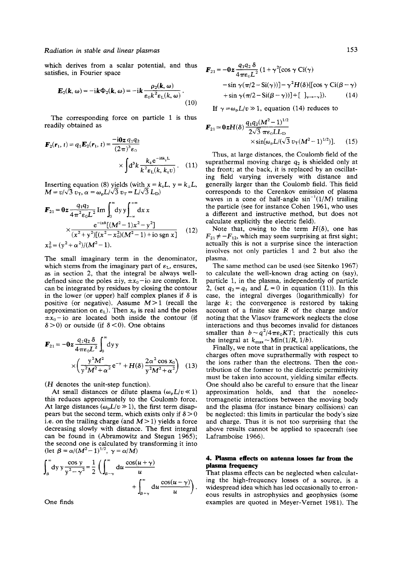# *Radiation in stable and linear plasmas*

which derives from a scalar potential, and thus satisfies, in Fourier space

$$
\mathbf{E}_2(\mathbf{k},\,\omega) = -\mathrm{i}\mathbf{k}\,\Phi_2(\mathbf{k},\,\omega) = -\mathrm{i}\mathbf{k}\,\frac{\rho_2(\mathbf{k},\,\omega)}{\varepsilon_0 k^2 \varepsilon_1(k,\,\omega)}\,. \tag{10}
$$

The corresponding force on particle 1 is thus readily obtained as

$$
\mathbf{F}_2(\mathbf{r}_1, t) = q_1 \mathbf{E}_2(\mathbf{r}_1, t) = \frac{-\mathbf{i} \mathbf{0} \mathbf{z} \, q_1 q_2}{(2\pi)^3 \varepsilon_0} \times \int d^3k \, \frac{k_z e^{-i8k_z L}}{k^2 \varepsilon_L(k, k_z v)} \,. \tag{11}
$$

Inserting equation (8) yields (with  $x = k<sub>z</sub>L$ ,  $y = k<sub>\perp</sub>L$ ,  $M = v/\sqrt{3} v_{\rm T}$ ,  $\alpha = \omega_{\rm p}L/\sqrt{3} v_{\rm T} = L/\sqrt{3} L_{\rm D}$ 

$$
\mathbf{F}_{21} = \mathbf{0} z \frac{q_1 q_2}{4 \pi^2 \varepsilon_0 L^2} \operatorname{Im} \int_0^\infty dy \, y \int_{-\infty}^{+\infty} dx \, x
$$
\n
$$
\times \frac{e^{-ix \varepsilon} [(M^2 - 1) x^2 - y^2]}{(x^2 + y^2) [(x^2 - x_0^2)(M^2 - 1) + i \cos(\pi x)]} \qquad (12)
$$
\n
$$
x_0^2 = (y^2 + \alpha^2)/(M^2 - 1).
$$

The small imaginary term in the denominator, which stems from the imaginary part of  $\varepsilon_1$ , ensures, as in section 2, that the integral be always welldefined since the poles  $\pm iy$ ,  $\pm x_0$  - io are complex. It can be integrated by residues by closing the contour in the lower (or upper) half complex planes if  $\delta$  is positive (or negative). Assume  $M>1$  (recall the approximation on  $\varepsilon_L$ ). Then  $x_0$  is real and the poles  $\pm x_0$  – io are located both inside the contour (if  $\delta$  > 0) or outside (if  $\delta$  < 0). One obtains

$$
\mathbf{F}_{21} = -0z \frac{q_1 q_2 \delta}{4\pi \epsilon_0 L^2} \int_0^\infty dy y
$$
  
 
$$
\times \left(\frac{y^2 M^2}{y^2 M^2 + \alpha^2} e^{-y} + H(\delta) \frac{2\alpha^2 \cos x_0}{y^2 M^2 + \alpha^2}\right) (13)
$$

(H denotes the unit-step function).

At small distances or dilute plasma  $(\omega_p L/v \ll 1)$ this reduces approximately to the Coulomb force. At large distances ( $\omega_p L/v \gg 1$ ), the first term disappears but the second term, which exists only if  $\delta > 0$ i.e. on the trailing charge (and  $M>1$ ) yields a force decreasing slowly with distance. The first integral can be found in (Abramowitz and Stegun 1965); the second one is calculated by transforming it into (let  $\beta = \alpha/(M^2 - 1)^{1/2}$ ,  $\gamma = \alpha/M$ )

$$
\int_{\beta}^{\infty} dy \, y \frac{\cos y}{y^2 - \gamma^2} = \frac{1}{2} \left( \int_{\beta - \gamma}^{\infty} du \, \frac{\cos(u + \gamma)}{u} + \int_{\beta + \gamma}^{\infty} du \, \frac{\cos(u - \gamma)}{u} \right).
$$

One finds

$$
\mathbf{F}_{21} = -0z \frac{q_1 q_2 \delta}{4\pi\epsilon_0 L^2} (1 + \gamma^2 [\cos \gamma \text{ Ci}(\gamma) - \sin \gamma(\pi/2 - \text{Si}(\gamma))] - \gamma^2 H(\delta) \{ [\cos \gamma \text{ Ci}(\beta - \gamma) + \sin \gamma(\pi/2 - \text{Si}(\beta - \gamma))] + [\ ]_{\gamma \to -\gamma} \}.
$$
 (14)

(10) If  $\gamma = \omega_p L/v \gg 1$ , equation (14) reduces to

$$
\mathbf{F}_{21} \approx \mathbf{0} \mathbf{z} H(\delta) \frac{q_1 q_2 (M^2 - 1)^{1/2}}{2\sqrt{3} \pi \epsilon_0 L L_{\text{D}}} \times \sin[\omega_{\text{p}} L / (\sqrt{3} \ v_{\text{T}} (M^2 - 1)^{1/2})]. \tag{15}
$$

Thus, at large distances, the Coulomb field of the suprathermal moving charge  $q_2$  is shielded only at the front; at the back, it is replaced by an oscillating field varying inversely with distance and generally larger than the Coulomb field. This field corresponds to the Cerenkov emission of plasma waves in a cone of half-angle  $sin^{-1}(1/M)$  trailing the particle (see for instance Cohen 1961, who uses a different and instructive method, but does not calculate explicitly the electric field).

Note that, owing to the term  $H(\delta)$ , one has  $F_{21} \neq -F_{12}$ , which may seem surprising at first sight; actually this is not a surprise since the interaction involves not only particles 1 and 2 but also the plasma.

The same method can be used (see Sitenko 1967) to calculate the well-known drag acting on (say), particle 1, in the plasma, independently of particle 2, (set  $q_2 = q_1$  and  $L = 0$  in equation (11)). In this case, the integral diverges (logarithmically) for large  $k$ ; the convergence is restored by taking account of a finite size *R* of the charge and/or noting that the Vlasov framework neglects the close interactions and thus becomes invalid for distances smaller than  $b \sim q^2/4\pi\epsilon_0 KT$ ; practically this cuts the integral at  $k_{\text{max}} \sim \text{Min}(1/R, 1/b)$ .

Finally, we note that in practical applications, the charges often move suprathermally with respect to the ions rather than the electrons. Then the contribution of the former to the dielectric permittivity must be taken into account, yielding similar effects. One should also be careful to ensure that the linear approximation holds, and that the nonelectromagnetic interactions between the moving body and the plasma (for instance binary collisions) can be neglected: this limits in particular the body's size and charge. Thus it is not too surprising that the above results cannot be applied to spacecraft (see Laframboise 1966).

## **4. Plasma effects on antenna losses far from the plasma frequency**

That plasma effects can be neglected when calculating the high-frequency losses of a source, is a widespread idea which has led occasionally to erroneous results in astrophysics and geophysics (some examples are quoted in Meyer-Vernet 1981). The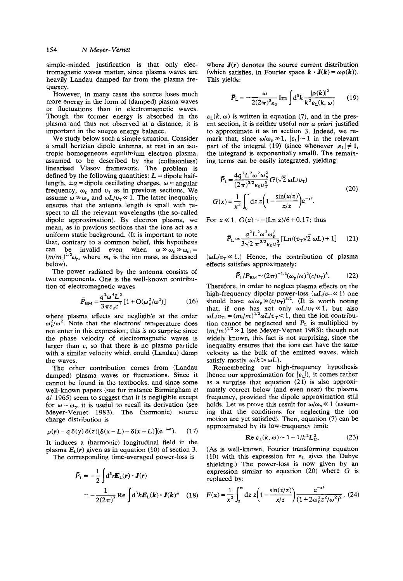simple-minded justification is that only electromagnetic waves matter, since plasma waves are heavily Landau damped far from the plasma frequency.

However, in many cases the source loses much more energy in the form of (damped) plasma waves or fluctuations than in electromagnetic waves. Though the former energy is absorbed in the plasma and thus not observed at a distance, it is important in the source energy balance.

We study below such a simple situation. Consider a small hertzian dipole antenna, at rest in an isotropic homogeneous equilibrium electron plasma, assumed to be described by the (collisionless) linearised Vlasov framework. The problem is defined by the following quantities:  $L =$  dipole halflength,  $\pm q$  = dipole oscillating charges,  $\omega$  = angular frequency,  $\omega_p$  and  $v_T$  as in previous sections. We assume  $\omega \gg \omega_p$  and  $\omega L/v_\text{T} \ll 1$ . The latter inequality ensures that the antenna length is small with respect to all the relevant wavelengths (the so-called dipole approximation). By electron plasma, we mean, as in previous sections that the ions act as a uniform static background. (It is important to note that, contrary to a common belief, this hypothesis can be invalid even when  $\omega \gg \omega_p \gg \omega_{pi} =$  $(m/m_i)^{1/2}\omega_p$ , where  $m_i$  is the ion mass, as discussed below).

The power radiated by the antenna consists of two components. One is the well-known contribution of electromagnetic waves

$$
\bar{P}_{\text{EM}} = \frac{q^2 \omega^4 L^2}{3 \pi \epsilon_0 c^3} [1 + O(\omega_p^2/\omega^2)] \tag{16}
$$

where plasma effects are negligible at the order  $\omega_p^2/\omega^2$ . Note that the electrons' temperature does not enter in this expression; this is no surprise since the phase velocity of electromagnetic waves is larger than **c,** so that there is no plasma particle with a similar velocity which could (Landau) damp the waves.

The other contribution comes from (Landau damped) plasma waves or fluctuations. Since it cannot be found in the textbooks, and since some well-known papers (see for instance Birmingham *et al* 1965) seem to suggest that it is negligible except for  $\omega \sim \omega_{\rm p}$ , it is useful to recall its derivation (see Meyer-Vernet **1983).** The (harmonic) source charge distribution is

$$
\rho(\mathbf{r}) = q \delta(y) \delta(z) [\delta(x - L) - \delta(x + L)] (e^{-i\omega t}).
$$
 (17)

It induces a (harmonic) longitudinal field in the plasma  $E<sub>1</sub>(r)$  given as in equation (10) of section 3. The corresponding time-averaged power-loss is

$$
\bar{P}_{L} = -\frac{1}{2} \int d^{3}r \mathbf{E}_{L}(\mathbf{r}) \cdot \mathbf{J}(\mathbf{r})
$$

$$
= -\frac{1}{2(2\pi)^{3}} \text{Re} \int d^{3}k \mathbf{E}_{L}(\mathbf{k}) \cdot \mathbf{J}(\mathbf{k})^{*} \quad (18)
$$

where  $J(r)$  denotes the source current distribution (which satisfies, in Fourier space  $\mathbf{k} \cdot \mathbf{J}(\mathbf{k}) = \omega \rho(\mathbf{k})$ ). This yields:

$$
\bar{P}_{\rm L} = -\frac{\omega}{2(2\pi)^3 \varepsilon_0} \operatorname{Im} \int \mathrm{d}^3 k \frac{|\rho(\mathbf{k})|^2}{k^2 \varepsilon_{\rm L}(k,\,\omega)} \qquad (19)
$$

 $\varepsilon_L(k, \omega)$  is written in equation (7), and in the present section, it is neither useful nor *a* **priori** justified to approximate it as in section **3.** Indeed, we remark that, since  $\omega/\omega_p \gg 1$ ,  $|\varepsilon_L| \sim 1$  in the relevant part of the integral (19) (since whenever  $|\epsilon_L| \neq 1$ , the integrand is exponentially small). The remaining terms can be easily integrated, yielding:

$$
\bar{P}_{\rm L} = \frac{4q^2 L^2 \omega^2 \omega_{\rm p}^2}{(2\pi)^{3/2} \epsilon_0 v_{\rm T}^3} G(\sqrt{2} \omega L/v_{\rm T})
$$
\n
$$
G(x) = \frac{1}{x^2} \int_0^{\infty} dz \, z \bigg( 1 - \frac{\sin(x/z)}{x/z} \bigg) e^{-z^2}.
$$
\n(20)

For  $x \ll 1$ ,  $G(x) \sim -(Ln x)/6 + 0.17$ ; thus

$$
\vec{P}_{\rm L} \simeq \frac{q^2 L^2 \omega^2 \omega_{\rm p}^2}{3\sqrt{2} \pi^{3/2} \epsilon_0 v_{\rm T}^3} \left[ \text{Ln} / (v_{\rm T} \sqrt{2} \omega L) + 1 \right] \tag{21}
$$

 $(\omega L/v_\text{T} \ll 1)$ . Hence, the contribution of plasma effects satisfies approximately:

$$
\bar{P}_{\rm L}/P_{\rm EM} \sim (2\pi)^{-1/2} (\omega_{\rm p}/\omega)^2 (c/v_{\rm T})^3. \tag{22}
$$

Therefore, in order to neglect plasma effects on the high-frequency dipolar power-loss  $(\omega L/v_\text{T} \ll 1)$  one should have  $\omega/\omega_p \gg (c/v_T)^{3/2}$ . (It is worth noting that, if one has not only  $\omega L/v_T \ll 1$ , but also  $\omega L/v_{\text{T}i} = (m_i/m)^{1/2} \omega L/v_{\text{T}} < 1$ , then the ion contribution cannot be neglected and  $P<sub>L</sub>$  is multiplied by  $(m<sub>i</sub>/m)^{1/2} \gg 1$  (see Meyer-Vernet 1983); though not widely known, this fact is not surprising, since the inequality ensures that the ions can have the same velocity as the bulk of the emitted waves, which satisfy mostly  $\omega/k > \omega L$ ).

Remembering our high-frequency hypothesis (hence our approximation for  $|\epsilon_{\text{L}}|$ ), it comes rather as a surprise that equation **(21)** is also approximately correct below (and even near) the plasma frequency, provided the dipole approximation still holds. Let us prove this result for  $\omega/\omega_p \ll 1$  (assuming that the conditions for neglecting the ion motion are yet satisfied). Then, equation **(7)** can be approximated by its low-frequency limit:

$$
\operatorname{Re}\,\varepsilon_{\rm L}(k,\,\omega) \sim 1 + 1/k^2 L_{\rm D}^2.\tag{23}
$$

**(As** is well-known, Fourier transforming equation (10) with this expression for  $\varepsilon_L$  gives the Debye shielding.) The power-loss is now given by an expression similar to equation **(20)** where G is replaced by:

$$
F(x) = \frac{1}{x^2} \int_0^{\infty} dz \ z \left( 1 - \frac{\sin(x/z)}{x/z} \right) \frac{e^{-z^2}}{(1 + 2\omega_p^2 z^2/\omega^2)^2} . \tag{24}
$$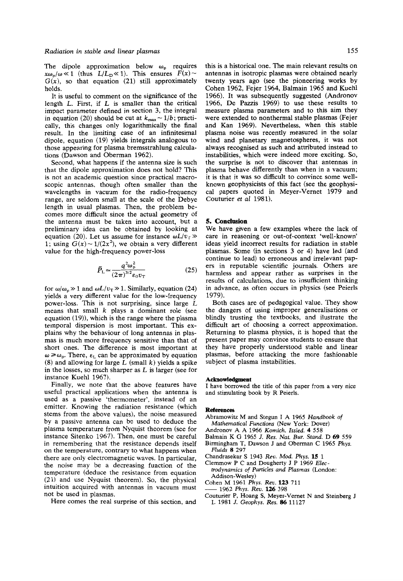The dipole approximation below  $\omega_p$  requires  $x\omega_p/\omega \ll 1$  (thus  $L/L_p \ll 1$ ). This ensures  $F(x) \sim$  $G(x)$ , so that equation (21) still approximately holds.

It is useful to comment **on** the significance of the length **L.** First, if **L** is smaller than the critical impact parameter defined in section **3,** the integral in equation (20) should be cut at  $k_{\text{max}} \sim 1/b$ ; practically, this changes only logarithmically the final result. **In** the limiting case of an infinitesimal dipole, equation **(19)** yields integrals analogous to those appearing for plasma bremsstrahlung calculations (Dawson and Oberman **1962).** 

Second, what happens if the antenna size is such that the dipole approximation does not hold? This is not an academic question since practical macroscopic antennas, though often smaller than the wavelengths in vacuum for the radio-frequency range, are seldom small at the scale of the Debye length in usual plasmas. Then, the problem becomes more difficult since the actual geometry of the antenna must be taken into account, but a preliminary idea can be obtained by looking at equation (20). Let us assume for instance  $\omega L/v_{\rm r}$   $\gg$ 1; using  $G(x) \sim 1/(2x^2)$ , we obtain a very different value for the high-frequency power-loss

$$
\bar{P}_{\rm L} \simeq \frac{q^2 \omega_{\rm p}^2}{(2\pi)^{3/2} \varepsilon_0 v_{\rm T}}\tag{25}
$$

for  $\omega/\omega_p \gg 1$  and  $\omega L/v_T \gg 1$ . Similarly, equation (24) yields a very different value for the low-frequency power-loss. This is not surprising, since large *L*  means that small *k* plays a dominant role (see equation **(19)),** which is the range where the plasma temporal dispersion is most important. This explains why the behaviour of long antennas in plasmas is much more frequency sensitive than that of short ones. The difference is most important at  $\omega \geq \omega_{p}$ . There,  $\varepsilon_{L}$  can be approximated by equation **(8)** and allowing for large *L* (small *k)* yields a spike in the losses, so much sharper as *L* is larger (see for instance Kuehl **1967).** 

Finally, we note that the above features have useful practical applications when the antenna is used as a passive 'thermometer', instead of an emitter. Knowing the radiation resistance (which stems from the above values), the noise measured by a passive antenna can be used to deduce the plasma temperature from Nyquist theorem (see for instance Sitenko **1967).** Then, one must be careful in remembering that the resistance depends itself on the temperature, contrary to what happens when there are only electromagnetic waves. In particular, the noise may be a decreasing function of the temperature (deduce the resistance from equation **(21)** and use Nyquist theorem). So, the physical intuition acquired with antennas in vacuum must not be used in plasmas.

Here comes the real surprise of this section, and

this is a historical one. The main relevant results **on**  antennas in isotropic plasmas were obtained nearly twenty years ago (see the pioneering works by Cohen **1962,** Fejer **1964,** Balmain **1965** and Kuehl **1966).** It was subsequently suggested (Andronov **1966,** De Pazzis **1969)** to use these results to measure plasma parameters and to this aim they were extended to nonthermal stable plasmas (Fejer and Kan **1969).** Nevertheless, when this stable plasma noise was recently measured in the solar wind and planetary magnetospheres, it was not always recognised as such and attributed instead to instabilities, which were indeed more exciting. *So,*  the surprise is not to discover that antennas in plasma behave differently than when in a vacuum; it is that it was so difficult to convince some wellknown geophysicists of this fact (see the geophysical papers quoted in Meyer-Vernet **1979** and Couturier *et a1* **1981).** 

## **5. Conclusion**

We have given a few examples where the lack of care in reasoning or out-of-context 'well-known' ideas yield incorrect results for radiation in stable plasmas. Some (in sections **3** or **4)** have led (and continue to lead) to erroneous and irrelevant papers in reputable scientific journals. Others are harmless and appear rather as surprises in the results of calculations, due to insufficient thinking in advance, as often occurs in physics (see Peierls **1979).** 

Both cases are of pedagogical value. They show the dangers of using improper generalisations or blindly trusting the textbooks, and ilustrate the difficult art of choosing a correct approximation. Returning to plasma physics, it is hoped that the present paper may convince students to ensure that they have properly understood stable and linear plasmas, before attacking the more fashionable subject of plasma instabilities.

#### **Acknowledgment**

I have borrowed the title of this paper from a very nice and stimulating book by R Peierls.

#### **References**

- Abramowitz M and Stegun **I** A 1965 *Handbook* of *Mathematical Functions* (New York: Dover)
- Andronov A A 1966 *Komich. Issled.* **4** 558
- Balmain **K** *G* 1965 *J. Res. Nat. Bur. Stand.* D *69* 559
- Birmingham T, Dawson J and Oberman C 1965 *Phys. Fluids 8* 297
- Chandrasekar *S* 1943 *Rev. Mod. Phys.* **15** 1
- Clemmow P C and Dougherty **J** P 1969 *Elec-*
- *trodynamics* of *Particles and Plasmas* (London: Addison-Wesley)<br>Cohen M 1961 Phys. Rev. 123 711 Clemmow P C and Dougherty J P 1969 Electrodynamics of Particles and Plasmas (London:<br>
Addison-Wesley)<br>
Cohen M 1961 Phys. Rev. **123** 711<br>
— 1962 Phys. Rev. **126** 398<br>
Couturier P, Hoang S, Meyer-Vernet N and Steinberg J
- 
- 
- **L** 1981 *J. Geophys. Res. 86* 11127